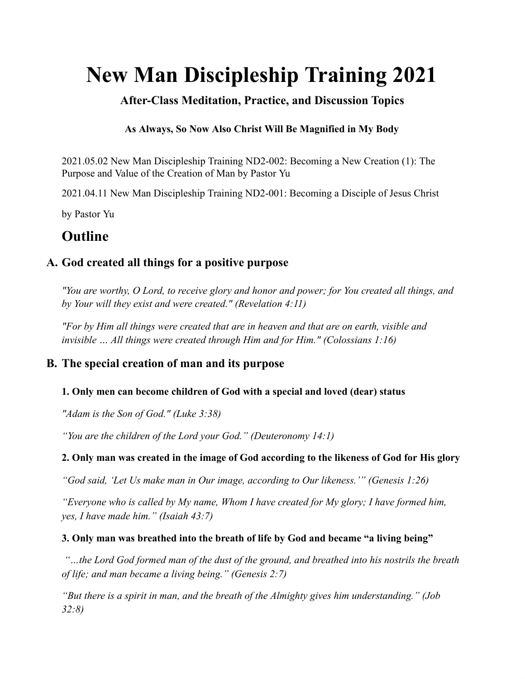# **New Man Discipleship Training 2021**

# **After-Class Meditation, Practice, and Discussion Topics**

#### **As Always, So Now Also Christ Will Be Magnified in My Body**

2021.05.02 New Man Discipleship Training ND2-002: Becoming a New Creation (1): The Purpose and Value of the Creation of Man by Pastor Yu

2021.04.11 New Man Discipleship Training ND2-001: Becoming a Disciple of Jesus Christ

by Pastor Yu

# **Outline**

## **A. God created all things for a positive purpose**

*"You are worthy, O Lord, to receive glory and honor and power; for You created all things, and by Your will they exist and were created." (Revelation 4:11)*

*"For by Him all things were created that are in heaven and that are on earth, visible and invisible … All things were created through Him and for Him." (Colossians 1:16)*

## **B. The special creation of man and its purpose**

#### **1. Only men can become children of God with a special and loved (dear) status**

*"Adam is the Son of God." (Luke 3:38)*

*"You are the children of the Lord your God." (Deuteronomy 14:1)*

#### **2. Only man was created in the image of God according to the likeness of God for His glory**

*"God said, 'Let Us make man in Our image, according to Our likeness.'" (Genesis 1:26)*

*"Everyone who is called by My name, Whom I have created for My glory; I have formed him, yes, I have made him." (Isaiah 43:7)*

#### **3. Only man was breathed into the breath of life by God and became "a living being"**

*"…the Lord God formed man of the dust of the ground, and breathed into his nostrils the breath of life; and man became a living being." (Genesis 2:7)*

*"But there is a spirit in man, and the breath of the Almighty gives him understanding." (Job 32:8)*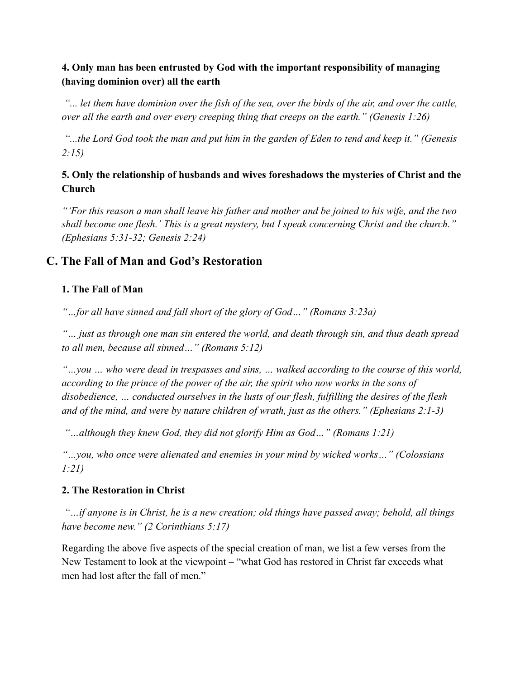#### **4. Only man has been entrusted by God with the important responsibility of managing (having dominion over) all the earth**

"... let them have dominion over the fish of the sea, over the birds of the air, and over the cattle, *over all the earth and over every creeping thing that creeps on the earth." (Genesis 1:26)*

"...the Lord God took the man and put him in the garden of Eden to tend and keep it." (Genesis *2:15)*

#### **5. Only the relationship of husbands and wives foreshadows the mysteries of Christ and the Church**

"'For this reason a man shall leave his father and mother and be joined to his wife, and the two *shall become one flesh.' This is a great mystery, but I speak concerning Christ and the church." (Ephesians 5:31-32; Genesis 2:24)*

# **C. The Fall of Man and God's Restoration**

#### **1. The Fall of Man**

*"…for all have sinned and fall short of the glory of God…" (Romans 3:23a)*

*"… just as through one man sin entered the world, and death through sin, and thus death spread to all men, because all sinned…" (Romans 5:12)*

*"…you … who were dead in trespasses and sins, … walked according to the course of this world, according to the prince of the power of the air, the spirit who now works in the sons of disobedience, … conducted ourselves in the lusts of our flesh, fulfilling the desires of the flesh and of the mind, and were by nature children of wrath, just as the others." (Ephesians 2:1-3)*

*"…although they knew God, they did not glorify Him as God…" (Romans 1:21)*

*"…you, who once were alienated and enemies in your mind by wicked works…" (Colossians 1:21)*

#### **2. The Restoration in Christ**

*"…if anyone is in Christ, he is a new creation; old things have passed away; behold, all things have become new." (2 Corinthians 5:17)*

Regarding the above five aspects of the special creation of man, we list a few verses from the New Testament to look at the viewpoint – "what God has restored in Christ far exceeds what men had lost after the fall of men."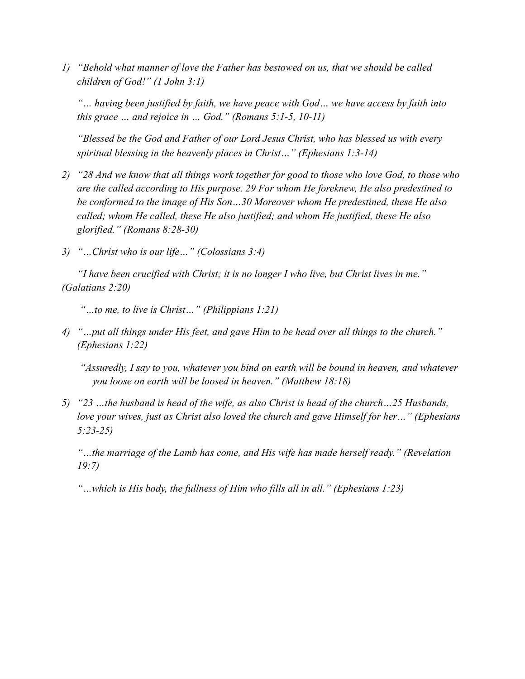*1) "Behold what manner of love the Father has bestowed on us, that we should be called children of God!" (1 John 3:1)*

*"… having been justified by faith, we have peace with God… we have access by faith into this grace … and rejoice in … God." (Romans 5:1-5, 10-11)*

*"Blessed be the God and Father of our Lord Jesus Christ, who has blessed us with every spiritual blessing in the heavenly places in Christ…" (Ephesians 1:3-14)*

- 2) "28 And we know that all things work together for good to those who love God, to those who *are the called according to His purpose. 29 For whom He foreknew, He also predestined to be conformed to the image of His Son…30 Moreover whom He predestined, these He also called; whom He called, these He also justified; and whom He justified, these He also glorified." (Romans 8:28-30)*
- *3) "…Christ who is our life…" (Colossians 3:4)*

*"I have been crucified with Christ; it is no longer I who live, but Christ lives in me." (Galatians 2:20)*

*"…to me, to live is Christ…" (Philippians 1:21)*

*4) "…put all things under His feet, and gave Him to be head over all things to the church." (Ephesians 1:22)*

*"Assuredly, I say to you, whatever you bind on earth will be bound in heaven, and whatever you loose on earth will be loosed in heaven." (Matthew 18:18)*

*5) "23 …the husband is head of the wife, as also Christ is head of the church…25 Husbands, love your wives, just as Christ also loved the church and gave Himself for her…" (Ephesians 5:23-25)*

*"…the marriage of the Lamb has come, and His wife has made herself ready." (Revelation 19:7)*

*"…which is His body, the fullness of Him who fills all in all." (Ephesians 1:23)*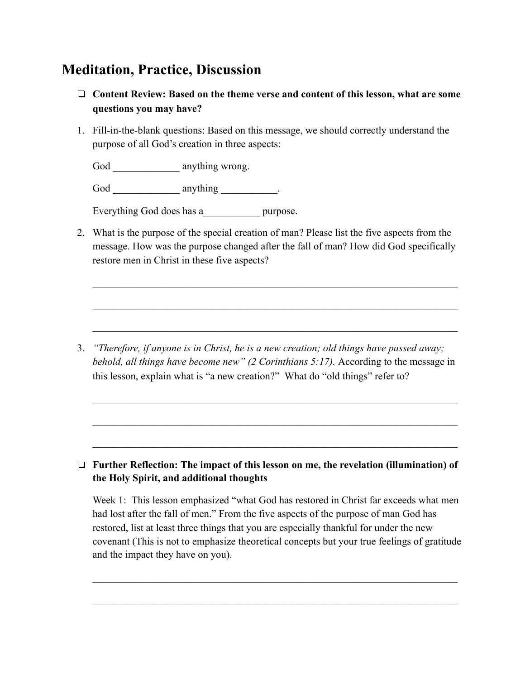# **Meditation, Practice, Discussion**

- ❏ **Content Review: Based on the theme verse and content of this lesson, what are some questions you may have?**
- 1. Fill-in-the-blank questions: Based on this message, we should correctly understand the purpose of all God's creation in three aspects:

God anything wrong.

God anything  $\qquad \qquad$  .

Everything God does has a \_\_\_\_\_\_\_\_\_ purpose.

2. What is the purpose of the special creation of man? Please list the five aspects from the message. How was the purpose changed after the fall of man? How did God specifically restore men in Christ in these five aspects?

3. *"Therefore, if anyone is in Christ, he is a new creation; old things have passed away; behold, all things have become new" (2 Corinthians 5:17).* According to the message in this lesson, explain what is "a new creation?" What do "old things" refer to?

#### ❏ **Further Reflection: The impact of this lesson on me, the revelation (illumination) of the Holy Spirit, and additional thoughts**

Week 1: This lesson emphasized "what God has restored in Christ far exceeds what men had lost after the fall of men." From the five aspects of the purpose of man God has restored, list at least three things that you are especially thankful for under the new covenant (This is not to emphasize theoretical concepts but your true feelings of gratitude and the impact they have on you).